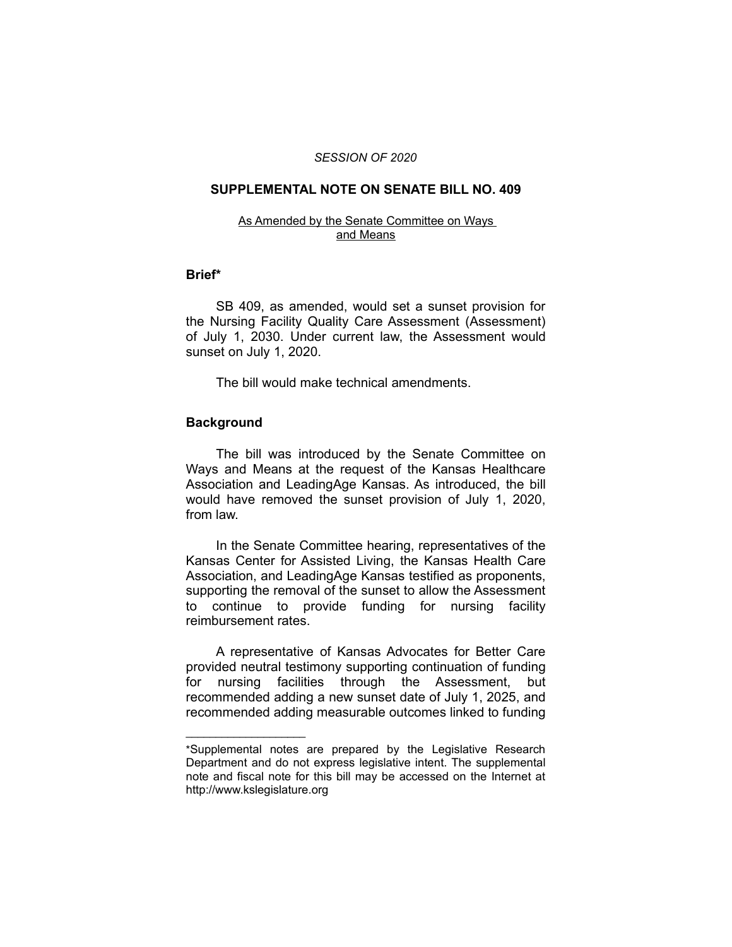#### *SESSION OF 2020*

## **SUPPLEMENTAL NOTE ON SENATE BILL NO. 409**

#### As Amended by the Senate Committee on Ways and Means

### **Brief\***

SB 409, as amended, would set a sunset provision for the Nursing Facility Quality Care Assessment (Assessment) of July 1, 2030. Under current law, the Assessment would sunset on July 1, 2020.

The bill would make technical amendments.

# **Background**

 $\overline{\phantom{a}}$  , where  $\overline{\phantom{a}}$  , where  $\overline{\phantom{a}}$ 

The bill was introduced by the Senate Committee on Ways and Means at the request of the Kansas Healthcare Association and LeadingAge Kansas. As introduced, the bill would have removed the sunset provision of July 1, 2020, from law.

In the Senate Committee hearing, representatives of the Kansas Center for Assisted Living, the Kansas Health Care Association, and LeadingAge Kansas testified as proponents, supporting the removal of the sunset to allow the Assessment to continue to provide funding for nursing facility reimbursement rates.

A representative of Kansas Advocates for Better Care provided neutral testimony supporting continuation of funding for nursing facilities through the Assessment, but recommended adding a new sunset date of July 1, 2025, and recommended adding measurable outcomes linked to funding

<sup>\*</sup>Supplemental notes are prepared by the Legislative Research Department and do not express legislative intent. The supplemental note and fiscal note for this bill may be accessed on the Internet at http://www.kslegislature.org